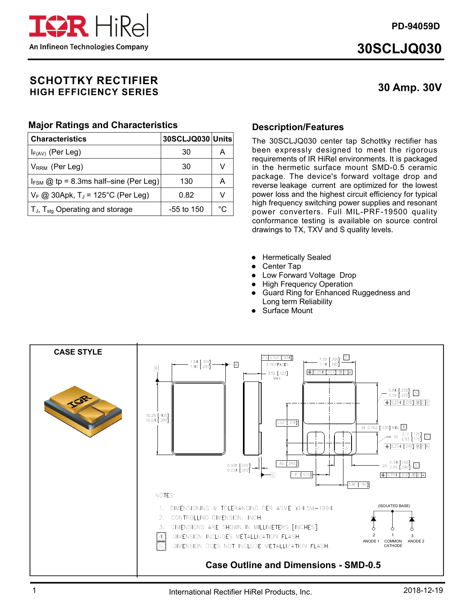**PD-94059D** 



# **30SCLJQ030**

# **30 Amp. 30V**

## **SCHOTTKY RECTIFIER HIGH EFFICIENCY SERIES**

## **Major Ratings and Characteristics**

| <b>Characteristics</b>                           | 30SCLJQ030 Units |    |
|--------------------------------------------------|------------------|----|
| $I_{F(AV)}$ (Per Leg)                            | 30               | А  |
| $V_{RRM}$ (Per Leg)                              | 30               | v  |
| $I_{FSM}$ @ tp = 8.3ms half-sine (Per Leg)       | 130              | А  |
| $V_F$ @ 30Apk, T <sub>J</sub> = 125°C (Per Leg)  | 0.82             | v  |
| $T_{J}$ , $T_{\text{stg}}$ Operating and storage | $-55$ to 150     | °∩ |

## **Description/Features**

The 30SCLJQ030 center tap Schottky rectifier has been expressly designed to meet the rigorous requirements of IR HiRel environments. It is packaged in the hermetic surface mount SMD-0.5 ceramic package. The device's forward voltage drop and reverse leakage current are optimized for the lowest power loss and the highest circuit efficiency for typical high frequency switching power supplies and resonant power converters. Full MIL-PRF-19500 quality conformance testing is available on source control drawings to TX, TXV and S quality levels.

- **•** Hermetically Sealed
- Center Tap
- Low Forward Voltage Drop
- High Frequency Operation
- Guard Ring for Enhanced Ruggedness and Long term Reliability
- Surface Mount

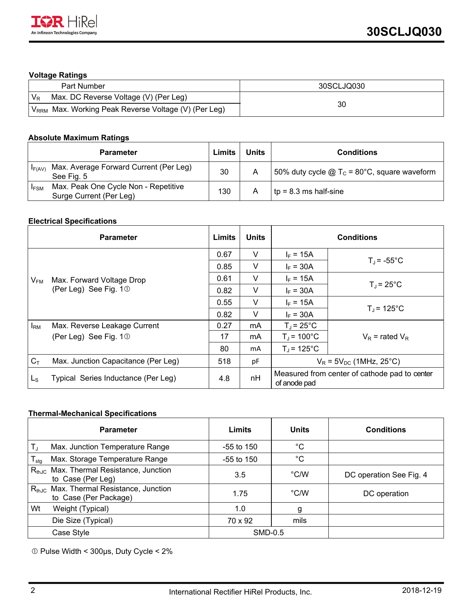### **Voltage Ratings**

| Part Number                                                  | 30SCLJQ030 |
|--------------------------------------------------------------|------------|
| Max. DC Reverse Voltage (V) (Per Leg)<br>$V_{R}$             |            |
| Max. Working Peak Reverse Voltage (V) (Per Leg)<br>$V_{RRM}$ | 30         |

## **Absolute Maximum Ratings**

|             | <b>Parameter</b>                                                | Limits | <b>Units</b> | <b>Conditions</b>                                              |
|-------------|-----------------------------------------------------------------|--------|--------------|----------------------------------------------------------------|
| IF(AV)      | Max. Average Forward Current (Per Leg)<br>See Fig. 5            | 30     |              | 50% duty cycle $\omega$ T <sub>c</sub> = 80°C, square waveform |
| <b>IFSM</b> | Max. Peak One Cycle Non - Repetitive<br>Surge Current (Per Leg) | 130    |              | $tp = 8.3$ ms half-sine                                        |

#### **Electrical Specifications**

|                       | <b>Parameter</b>                    | <b>Limits</b> | <b>Units</b> | <b>Conditions</b>                                             |                     |
|-----------------------|-------------------------------------|---------------|--------------|---------------------------------------------------------------|---------------------|
|                       |                                     | 0.67          | v            | $I_F = 15A$                                                   |                     |
|                       |                                     | 0.85          | $\vee$       | $I_F = 30A$                                                   | $T_{\rm J}$ = -55°C |
| $V_{FM}$              | Max. Forward Voltage Drop           | 0.61          | v            | $I_F = 15A$                                                   |                     |
| (Per Leg) See Fig. 10 | 0.82                                | v             | $I_F = 30A$  | $T_{\rm J}$ = 25°C                                            |                     |
|                       | 0.55                                | V             | $I_F = 15A$  |                                                               |                     |
|                       | 0.82                                | $\vee$        | $I_F = 30A$  | $T_{\rm J}$ = 125°C                                           |                     |
| $I_{\rm RM}$          | Max. Reverse Leakage Current        | 0.27          | mA           | $T_1 = 25^{\circ}$ C                                          |                     |
|                       | (Per Leg) See Fig. $10$             | 17            | mA           | $T_J$ = 100 $^{\circ}$ C                                      | $V_R$ = rated $V_R$ |
|                       |                                     | 80            | mA           | $T_i = 125^{\circ}C$                                          |                     |
| $C_T$                 | Max. Junction Capacitance (Per Leg) | 518           | рF           | $V_R$ = 5 $V_{DC}$ (1MHz, 25°C)                               |                     |
| $L_{\rm S}$           | Typical Series Inductance (Per Leg) | 4.8           | nH           | Measured from center of cathode pad to center<br>of anode pad |                     |

#### **Thermal-Mechanical Specifications**

| <b>Parameter</b>                                                                           | Limits       | <b>Units</b>  | <b>Conditions</b>       |
|--------------------------------------------------------------------------------------------|--------------|---------------|-------------------------|
| $T_{\rm J}$<br>Max. Junction Temperature Range                                             | $-55$ to 150 | $^{\circ}C$   |                         |
| Max. Storage Temperature Range<br>$T_{\text{stg}}$                                         | $-55$ to 150 | $^{\circ}C$   |                         |
| R <sub>thJC</sub> Max. Thermal Resistance, Junction<br>to Case (Per Leg)                   | 3.5          | $\degree$ C/W | DC operation See Fig. 4 |
| Max. Thermal Resistance, Junction<br>$\mathsf{R}_{\mathsf{thJC}}$<br>to Case (Per Package) | 1.75         | $\degree$ C/W | DC operation            |
| Wt<br>Weight (Typical)                                                                     | 1.0          | g             |                         |
| Die Size (Typical)                                                                         | 70 x 92      | mils          |                         |
| Case Style                                                                                 | SMD-0.5      |               |                         |

Pulse Width < 300µs, Duty Cycle < 2%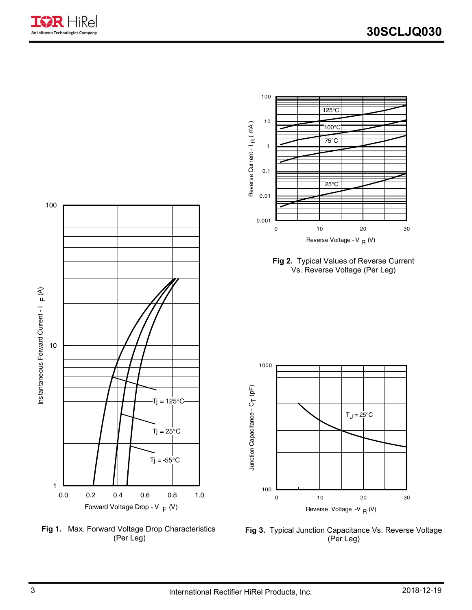



**Fig 1.** Max. Forward Voltage Drop Characteristics (Per Leg)



125°C



100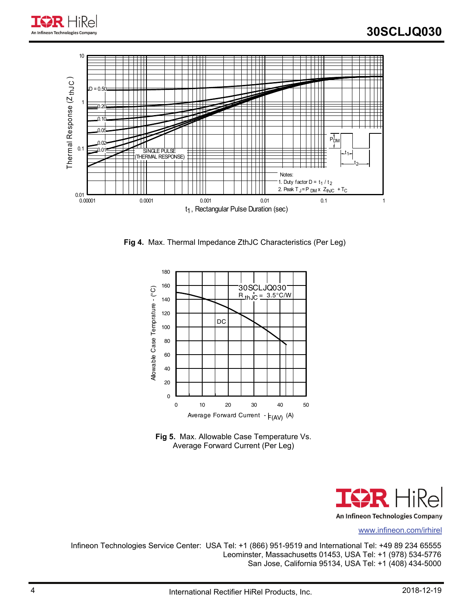

**Fig 4.** Max. Thermal Impedance ZthJC Characteristics (Per Leg)







www.infineon.com/irhirel

Infineon Technologies Service Center: USA Tel: +1 (866) 951-9519 and International Tel: +49 89 234 65555 Leominster, Massachusetts 01453, USA Tel: +1 (978) 534-5776 San Jose, California 95134, USA Tel: +1 (408) 434-5000

An Infineon Technologies Company